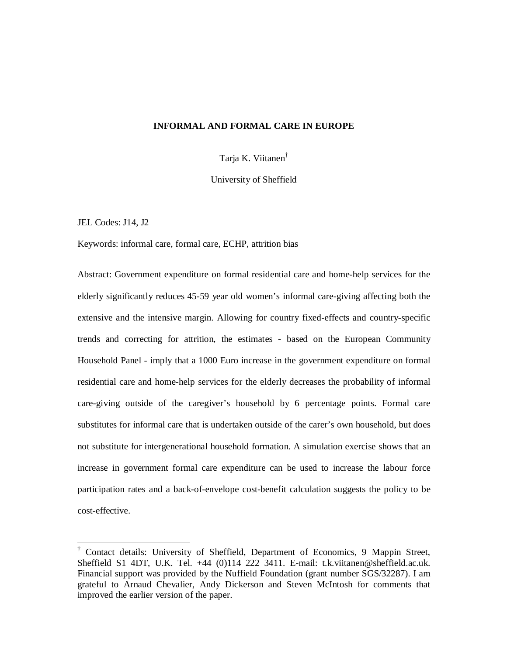## **INFORMAL AND FORMAL CARE IN EUROPE**

Tarja K. Viitanen †

University of Sheffield

JEL Codes: J14, J2

-

Keywords: informal care, formal care, ECHP, attrition bias

Abstract: Government expenditure on formal residential care and home-help services for the elderly significantly reduces 45-59 year old women's informal care-giving affecting both the extensive and the intensive margin. Allowing for country fixed-effects and country-specific trends and correcting for attrition, the estimates - based on the European Community Household Panel - imply that a 1000 Euro increase in the government expenditure on formal residential care and home-help services for the elderly decreases the probability of informal care-giving outside of the caregiver's household by 6 percentage points. Formal care substitutes for informal care that is undertaken outside of the carer's own household, but does not substitute for intergenerational household formation. A simulation exercise shows that an increase in government formal care expenditure can be used to increase the labour force participation rates and a back-of-envelope cost-benefit calculation suggests the policy to be cost-effective.

<sup>†</sup> Contact details: University of Sheffield, Department of Economics, 9 Mappin Street, Sheffield S1 4DT, U.K. Tel. +44 (0)114 222 3411. E-mail: [t.k.viitanen@sheffield.ac.uk.](mailto:t.k.viitanen@sheffield.ac.uk) Financial support was provided by the Nuffield Foundation (grant number SGS/32287). I am grateful to Arnaud Chevalier, Andy Dickerson and Steven McIntosh for comments that improved the earlier version of the paper.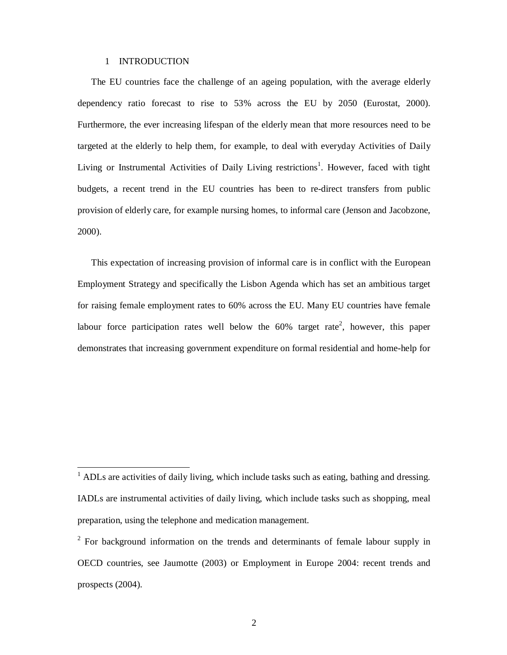### 1 INTRODUCTION

 $\overline{a}$ 

The EU countries face the challenge of an ageing population, with the average elderly dependency ratio forecast to rise to 53% across the EU by 2050 (Eurostat, 2000). Furthermore, the ever increasing lifespan of the elderly mean that more resources need to be targeted at the elderly to help them, for example, to deal with everyday Activities of Daily Living or Instrumental Activities of Daily Living restrictions<sup>1</sup>. However, faced with tight budgets, a recent trend in the EU countries has been to re-direct transfers from public provision of elderly care, for example nursing homes, to informal care (Jenson and Jacobzone, 2000).

This expectation of increasing provision of informal care is in conflict with the European Employment Strategy and specifically the Lisbon Agenda which has set an ambitious target for raising female employment rates to 60% across the EU. Many EU countries have female labour force participation rates well below the  $60\%$  target rate<sup>2</sup>, however, this paper demonstrates that increasing government expenditure on formal residential and home-help for

 $<sup>1</sup>$  ADLs are activities of daily living, which include tasks such as eating, bathing and dressing.</sup> IADLs are instrumental activities of daily living, which include tasks such as shopping, meal preparation, using the telephone and medication management.

 $2^2$  For background information on the trends and determinants of female labour supply in OECD countries, see Jaumotte (2003) or Employment in Europe 2004: recent trends and prospects (2004).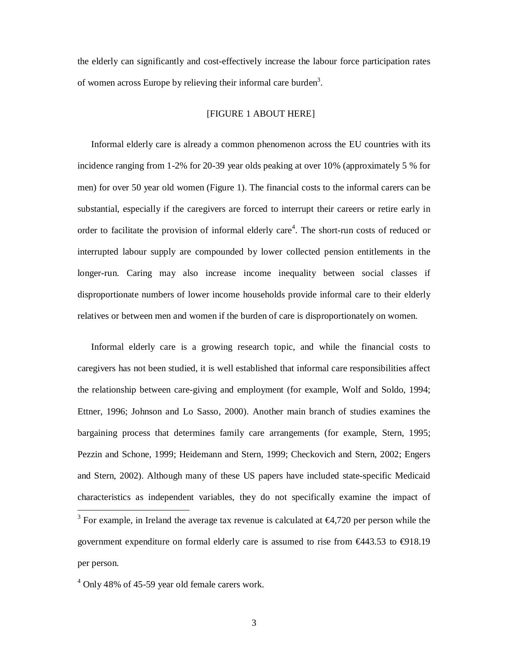the elderly can significantly and cost-effectively increase the labour force participation rates of women across Europe by relieving their informal care burden<sup>3</sup>.

# [FIGURE 1 ABOUT HERE]

Informal elderly care is already a common phenomenon across the EU countries with its incidence ranging from 1-2% for 20-39 year olds peaking at over 10% (approximately 5 % for men) for over 50 year old women (Figure 1). The financial costs to the informal carers can be substantial, especially if the caregivers are forced to interrupt their careers or retire early in order to facilitate the provision of informal elderly care<sup>4</sup>. The short-run costs of reduced or interrupted labour supply are compounded by lower collected pension entitlements in the longer-run. Caring may also increase income inequality between social classes if disproportionate numbers of lower income households provide informal care to their elderly relatives or between men and women if the burden of care is disproportionately on women.

Informal elderly care is a growing research topic, and while the financial costs to caregivers has not been studied, it is well established that informal care responsibilities affect the relationship between care-giving and employment (for example, Wolf and Soldo, 1994; Ettner, 1996; Johnson and Lo Sasso, 2000). Another main branch of studies examines the bargaining process that determines family care arrangements (for example, Stern, 1995; Pezzin and Schone, 1999; Heidemann and Stern, 1999; Checkovich and Stern, 2002; Engers and Stern, 2002). Although many of these US papers have included state-specific Medicaid characteristics as independent variables, they do not specifically examine the impact of

 $\frac{3}{3}$  For example, in Ireland the average tax revenue is calculated at  $\epsilon$ 4,720 per person while the government expenditure on formal elderly care is assumed to rise from €443.53 to €918.19 per person.

 $4$  Only 48% of 45-59 year old female carers work.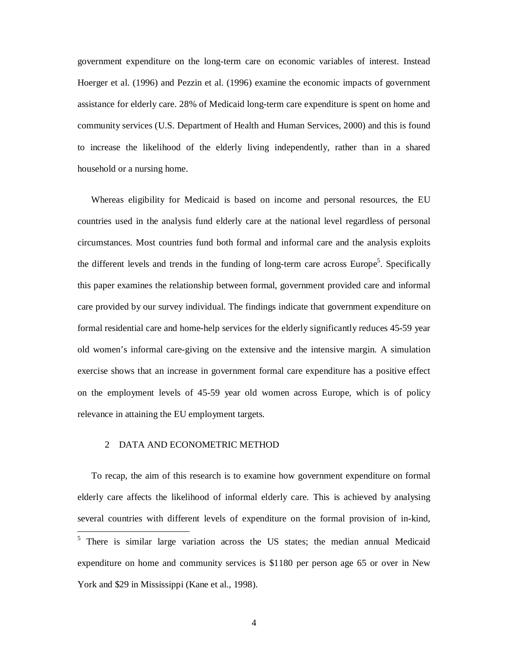government expenditure on the long-term care on economic variables of interest. Instead Hoerger et al. (1996) and Pezzin et al. (1996) examine the economic impacts of government assistance for elderly care. 28% of Medicaid long-term care expenditure is spent on home and community services (U.S. Department of Health and Human Services, 2000) and this is found to increase the likelihood of the elderly living independently, rather than in a shared household or a nursing home.

Whereas eligibility for Medicaid is based on income and personal resources, the EU countries used in the analysis fund elderly care at the national level regardless of personal circumstances. Most countries fund both formal and informal care and the analysis exploits the different levels and trends in the funding of long-term care across Europe<sup>5</sup>. Specifically this paper examines the relationship between formal, government provided care and informal care provided by our survey individual. The findings indicate that government expenditure on formal residential care and home-help services for the elderly significantly reduces 45-59 year old women's informal care-giving on the extensive and the intensive margin. A simulation exercise shows that an increase in government formal care expenditure has a positive effect on the employment levels of 45-59 year old women across Europe, which is of policy relevance in attaining the EU employment targets.

### 2 DATA AND ECONOMETRIC METHOD

To recap, the aim of this research is to examine how government expenditure on formal elderly care affects the likelihood of informal elderly care. This is achieved by analysing several countries with different levels of expenditure on the formal provision of in-kind, -<sup>5</sup> There is similar large variation across the US states; the median annual Medicaid expenditure on home and community services is \$1180 per person age 65 or over in New York and \$29 in Mississippi (Kane et al., 1998).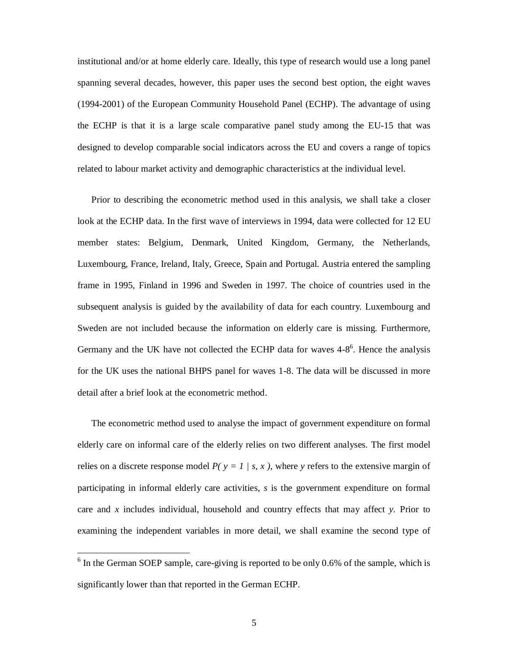institutional and/or at home elderly care. Ideally, this type of research would use a long panel spanning several decades, however, this paper uses the second best option, the eight waves (1994-2001) of the European Community Household Panel (ECHP). The advantage of using the ECHP is that it is a large scale comparative panel study among the EU-15 that was designed to develop comparable social indicators across the EU and covers a range of topics related to labour market activity and demographic characteristics at the individual level.

Prior to describing the econometric method used in this analysis, we shall take a closer look at the ECHP data. In the first wave of interviews in 1994, data were collected for 12 EU member states: Belgium, Denmark, United Kingdom, Germany, the Netherlands, Luxembourg, France, Ireland, Italy, Greece, Spain and Portugal. Austria entered the sampling frame in 1995, Finland in 1996 and Sweden in 1997. The choice of countries used in the subsequent analysis is guided by the availability of data for each country. Luxembourg and Sweden are not included because the information on elderly care is missing. Furthermore, Germany and the UK have not collected the ECHP data for waves  $4-8^6$ . Hence the analysis for the UK uses the national BHPS panel for waves 1-8. The data will be discussed in more detail after a brief look at the econometric method.

The econometric method used to analyse the impact of government expenditure on formal elderly care on informal care of the elderly relies on two different analyses. The first model relies on a discrete response model  $P(y = 1 / s, x)$ , where y refers to the extensive margin of participating in informal elderly care activities, *s* is the government expenditure on formal care and *x* includes individual, household and country effects that may affect *y*. Prior to examining the independent variables in more detail, we shall examine the second type of

 $\frac{6}{6}$  In the German SOEP sample, care-giving is reported to be only 0.6% of the sample, which is significantly lower than that reported in the German ECHP.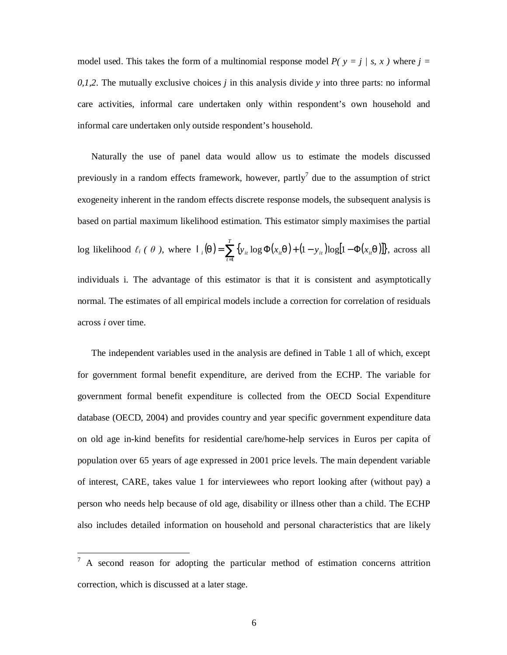model used. This takes the form of a multinomial response model  $P(y = j / s, x)$  where  $j =$ *0,1,2*. The mutually exclusive choices *j* in this analysis divide *y* into three parts: no informal care activities, informal care undertaken only within respondent's own household and informal care undertaken only outside respondent's household.

Naturally the use of panel data would allow us to estimate the models discussed previously in a random effects framework, however, partly<sup>7</sup> due to the assumption of strict exogeneity inherent in the random effects discrete response models, the subsequent analysis is based on partial maximum likelihood estimation. This estimator simply maximises the partial log likelihood  $\ell_i$  (  $\theta$  ), where  $\mathbf{1}_i(q) = \sum_{t=1}^{i} \{y_{it} \log \Phi(x_{it}q) + (1 - y_{it}) \log[1 - \Phi(x_{it}q)]\}$ .  $=\sum_{i=1}^{T} \{y_i \log \Phi(x_i, q) + (1 - y_i) \log[1 - \Phi]$  $f_i(q) = \sum_{t=1}^{n} \{y_{it} \log \Phi(x_{it}q) + (1 - y_{it}) \log[1 - \Phi(x_{it}q_{it}q)]\}$  $\mathbf{1}_{i}(q) = \sum \{y_{i} \log \Phi(x_{i}, q) + (1 - y_{i}) \log[1 - \Phi(x_{i}, q)]\},\text{ across all }$ individuals i. The advantage of this estimator is that it is consistent and asymptotically normal. The estimates of all empirical models include a correction for correlation of residuals across *i* over time.

The independent variables used in the analysis are defined in Table 1 all of which, except for government formal benefit expenditure, are derived from the ECHP. The variable for government formal benefit expenditure is collected from the OECD Social Expenditure database (OECD, 2004) and provides country and year specific government expenditure data on old age in-kind benefits for residential care/home-help services in Euros per capita of population over 65 years of age expressed in 2001 price levels. The main dependent variable of interest, CARE, takes value 1 for interviewees who report looking after (without pay) a person who needs help because of old age, disability or illness other than a child. The ECHP also includes detailed information on household and personal characteristics that are likely

 $7 A$  second reason for adopting the particular method of estimation concerns attrition correction, which is discussed at a later stage.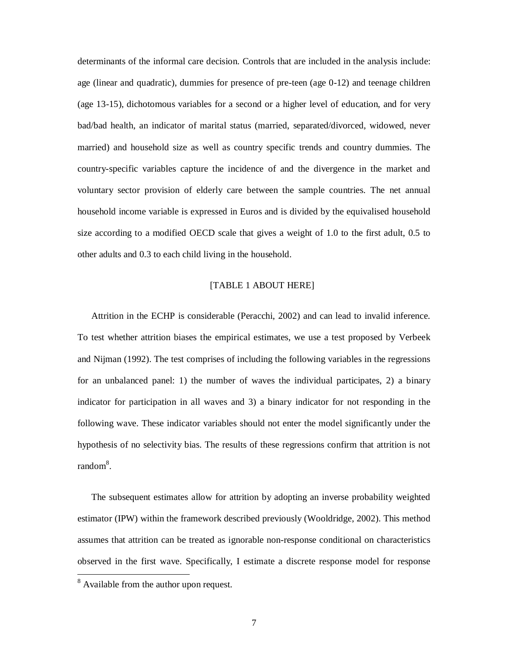determinants of the informal care decision. Controls that are included in the analysis include: age (linear and quadratic), dummies for presence of pre-teen (age 0-12) and teenage children (age 13-15), dichotomous variables for a second or a higher level of education, and for very bad/bad health, an indicator of marital status (married, separated/divorced, widowed, never married) and household size as well as country specific trends and country dummies. The country-specific variables capture the incidence of and the divergence in the market and voluntary sector provision of elderly care between the sample countries. The net annual household income variable is expressed in Euros and is divided by the equivalised household size according to a modified OECD scale that gives a weight of 1.0 to the first adult, 0.5 to other adults and 0.3 to each child living in the household.

## [TABLE 1 ABOUT HERE]

Attrition in the ECHP is considerable (Peracchi, 2002) and can lead to invalid inference. To test whether attrition biases the empirical estimates, we use a test proposed by Verbeek and Nijman (1992). The test comprises of including the following variables in the regressions for an unbalanced panel: 1) the number of waves the individual participates, 2) a binary indicator for participation in all waves and 3) a binary indicator for not responding in the following wave. These indicator variables should not enter the model significantly under the hypothesis of no selectivity bias. The results of these regressions confirm that attrition is not random<sup>8</sup>.

The subsequent estimates allow for attrition by adopting an inverse probability weighted estimator (IPW) within the framework described previously (Wooldridge, 2002). This method assumes that attrition can be treated as ignorable non-response conditional on characteristics observed in the first wave. Specifically, I estimate a discrete response model for response

<sup>&</sup>lt;sup>8</sup> Available from the author upon request.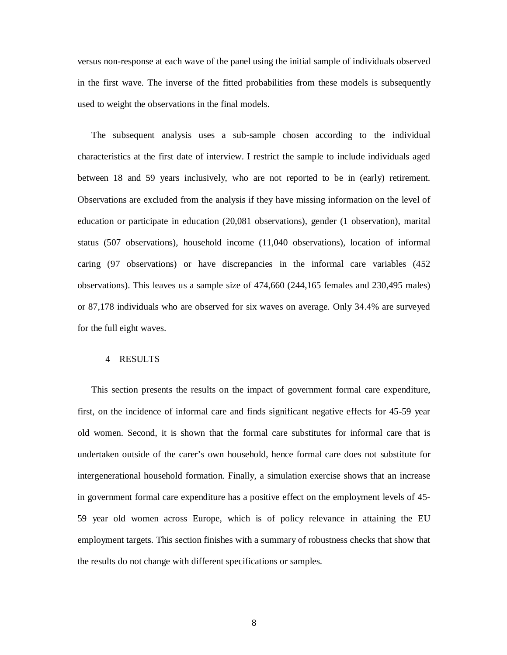versus non-response at each wave of the panel using the initial sample of individuals observed in the first wave. The inverse of the fitted probabilities from these models is subsequently used to weight the observations in the final models.

The subsequent analysis uses a sub-sample chosen according to the individual characteristics at the first date of interview. I restrict the sample to include individuals aged between 18 and 59 years inclusively, who are not reported to be in (early) retirement. Observations are excluded from the analysis if they have missing information on the level of education or participate in education (20,081 observations), gender (1 observation), marital status (507 observations), household income (11,040 observations), location of informal caring (97 observations) or have discrepancies in the informal care variables (452 observations). This leaves us a sample size of 474,660 (244,165 females and 230,495 males) or 87,178 individuals who are observed for six waves on average. Only 34.4% are surveyed for the full eight waves.

## 4 RESULTS

This section presents the results on the impact of government formal care expenditure, first, on the incidence of informal care and finds significant negative effects for 45-59 year old women. Second, it is shown that the formal care substitutes for informal care that is undertaken outside of the carer's own household, hence formal care does not substitute for intergenerational household formation. Finally, a simulation exercise shows that an increase in government formal care expenditure has a positive effect on the employment levels of 45- 59 year old women across Europe, which is of policy relevance in attaining the EU employment targets. This section finishes with a summary of robustness checks that show that the results do not change with different specifications or samples.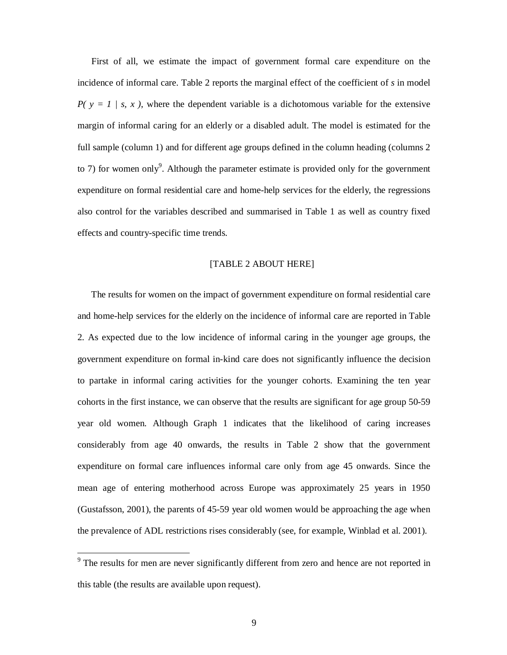First of all, we estimate the impact of government formal care expenditure on the incidence of informal care. Table 2 reports the marginal effect of the coefficient of *s* in model  $P(y = 1 / s, x)$ , where the dependent variable is a dichotomous variable for the extensive margin of informal caring for an elderly or a disabled adult. The model is estimated for the full sample (column 1) and for different age groups defined in the column heading (columns 2 to 7) for women only<sup>9</sup>. Although the parameter estimate is provided only for the government expenditure on formal residential care and home-help services for the elderly, the regressions also control for the variables described and summarised in Table 1 as well as country fixed effects and country-specific time trends.

## [TABLE 2 ABOUT HERE]

The results for women on the impact of government expenditure on formal residential care and home-help services for the elderly on the incidence of informal care are reported in Table 2. As expected due to the low incidence of informal caring in the younger age groups, the government expenditure on formal in-kind care does not significantly influence the decision to partake in informal caring activities for the younger cohorts. Examining the ten year cohorts in the first instance, we can observe that the results are significant for age group 50-59 year old women. Although Graph 1 indicates that the likelihood of caring increases considerably from age 40 onwards, the results in Table 2 show that the government expenditure on formal care influences informal care only from age 45 onwards. Since the mean age of entering motherhood across Europe was approximately 25 years in 1950 (Gustafsson, 2001), the parents of 45-59 year old women would be approaching the age when the prevalence of ADL restrictions rises considerably (see, for example, Winblad et al. 2001).

The results for men are never significantly different from zero and hence are not reported in this table (the results are available upon request).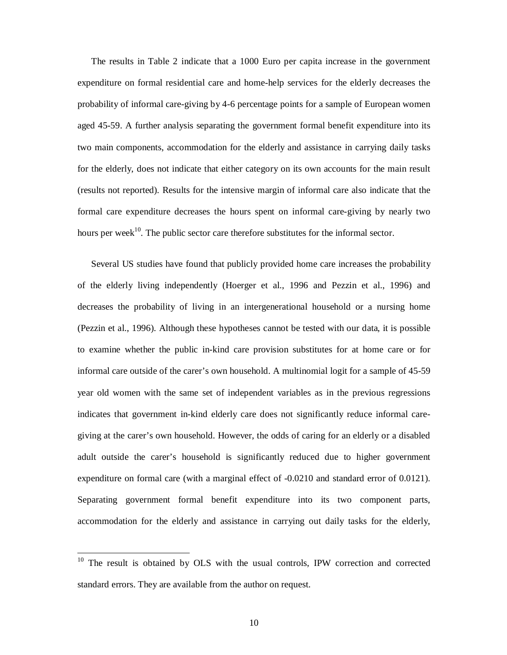The results in Table 2 indicate that a 1000 Euro per capita increase in the government expenditure on formal residential care and home-help services for the elderly decreases the probability of informal care-giving by 4-6 percentage points for a sample of European women aged 45-59. A further analysis separating the government formal benefit expenditure into its two main components, accommodation for the elderly and assistance in carrying daily tasks for the elderly, does not indicate that either category on its own accounts for the main result (results not reported). Results for the intensive margin of informal care also indicate that the formal care expenditure decreases the hours spent on informal care-giving by nearly two hours per week<sup>10</sup>. The public sector care therefore substitutes for the informal sector.

Several US studies have found that publicly provided home care increases the probability of the elderly living independently (Hoerger et al., 1996 and Pezzin et al., 1996) and decreases the probability of living in an intergenerational household or a nursing home (Pezzin et al., 1996). Although these hypotheses cannot be tested with our data, it is possible to examine whether the public in-kind care provision substitutes for at home care or for informal care outside of the carer's own household. A multinomial logit for a sample of 45-59 year old women with the same set of independent variables as in the previous regressions indicates that government in-kind elderly care does not significantly reduce informal caregiving at the carer's own household. However, the odds of caring for an elderly or a disabled adult outside the carer's household is significantly reduced due to higher government expenditure on formal care (with a marginal effect of -0.0210 and standard error of 0.0121). Separating government formal benefit expenditure into its two component parts, accommodation for the elderly and assistance in carrying out daily tasks for the elderly,

 $10$  The result is obtained by OLS with the usual controls, IPW correction and corrected standard errors. They are available from the author on request.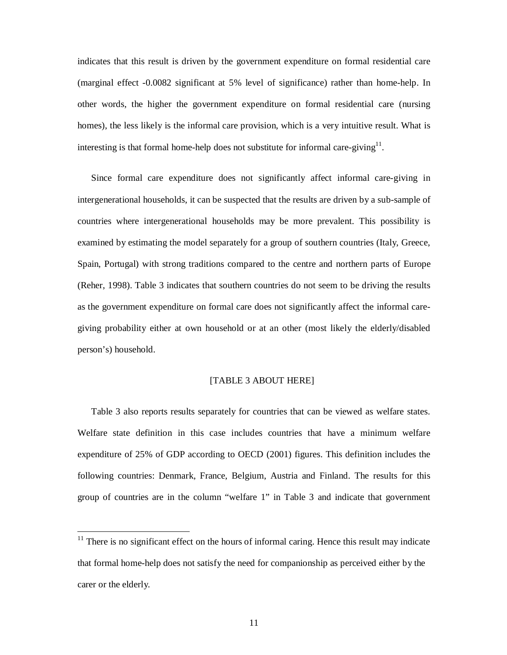indicates that this result is driven by the government expenditure on formal residential care (marginal effect -0.0082 significant at 5% level of significance) rather than home-help. In other words, the higher the government expenditure on formal residential care (nursing homes), the less likely is the informal care provision, which is a very intuitive result. What is interesting is that formal home-help does not substitute for informal care-giving $11$ .

Since formal care expenditure does not significantly affect informal care-giving in intergenerational households, it can be suspected that the results are driven by a sub-sample of countries where intergenerational households may be more prevalent. This possibility is examined by estimating the model separately for a group of southern countries (Italy, Greece, Spain, Portugal) with strong traditions compared to the centre and northern parts of Europe (Reher, 1998). Table 3 indicates that southern countries do not seem to be driving the results as the government expenditure on formal care does not significantly affect the informal caregiving probability either at own household or at an other (most likely the elderly/disabled person's) household.

## [TABLE 3 ABOUT HERE]

Table 3 also reports results separately for countries that can be viewed as welfare states. Welfare state definition in this case includes countries that have a minimum welfare expenditure of 25% of GDP according to OECD (2001) figures. This definition includes the following countries: Denmark, France, Belgium, Austria and Finland. The results for this group of countries are in the column "welfare 1" in Table 3 and indicate that government

 $11$  There is no significant effect on the hours of informal caring. Hence this result may indicate that formal home-help does not satisfy the need for companionship as perceived either by the carer or the elderly.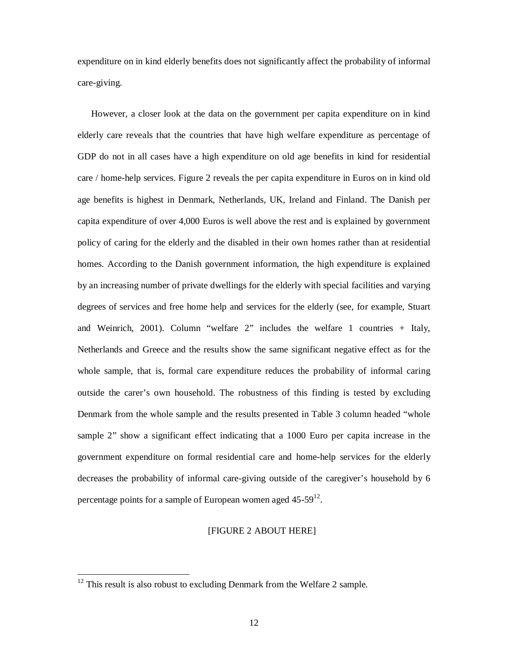expenditure on in kind elderly benefits does not significantly affect the probability of informal care-giving.

However, a closer look at the data on the government per capita expenditure on in kind elderly care reveals that the countries that have high welfare expenditure as percentage of GDP do not in all cases have a high expenditure on old age benefits in kind for residential care / home-help services. Figure 2 reveals the per capita expenditure in Euros on in kind old age benefits is highest in Denmark, Netherlands, UK, Ireland and Finland. The Danish per capita expenditure of over 4,000 Euros is well above the rest and is explained by government policy of caring for the elderly and the disabled in their own homes rather than at residential homes. According to the Danish government information, the high expenditure is explained by an increasing number of private dwellings for the elderly with special facilities and varying degrees of services and free home help and services for the elderly (see, for example, Stuart and Weinrich, 2001). Column "welfare 2" includes the welfare 1 countries + Italy, Netherlands and Greece and the results show the same significant negative effect as for the whole sample, that is, formal care expenditure reduces the probability of informal caring outside the carer's own household. The robustness of this finding is tested by excluding Denmark from the whole sample and the results presented in Table 3 column headed "whole sample 2" show a significant effect indicating that a 1000 Euro per capita increase in the government expenditure on formal residential care and home-help services for the elderly decreases the probability of informal care-giving outside of the caregiver's household by 6 percentage points for a sample of European women aged  $45-59^{12}$ .

### [FIGURE 2 ABOUT HERE]

 $12$  This result is also robust to excluding Denmark from the Welfare 2 sample.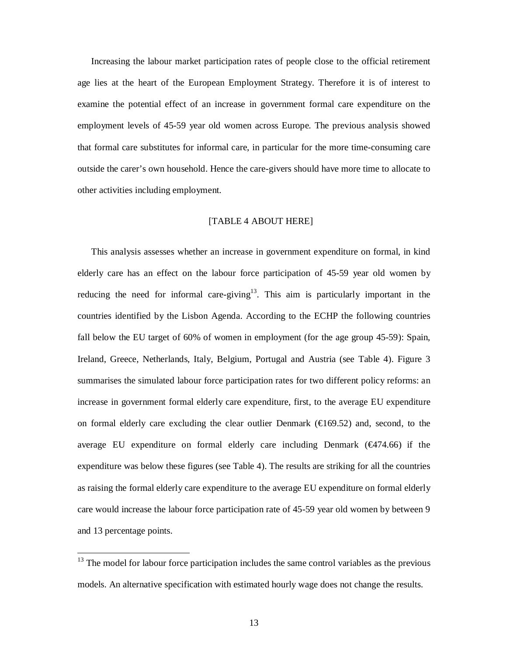Increasing the labour market participation rates of people close to the official retirement age lies at the heart of the European Employment Strategy. Therefore it is of interest to examine the potential effect of an increase in government formal care expenditure on the employment levels of 45-59 year old women across Europe. The previous analysis showed that formal care substitutes for informal care, in particular for the more time-consuming care outside the carer's own household. Hence the care-givers should have more time to allocate to other activities including employment.

## [TABLE 4 ABOUT HERE]

This analysis assesses whether an increase in government expenditure on formal, in kind elderly care has an effect on the labour force participation of 45-59 year old women by reducing the need for informal care-giving<sup>13</sup>. This aim is particularly important in the countries identified by the Lisbon Agenda. According to the ECHP the following countries fall below the EU target of 60% of women in employment (for the age group 45-59): Spain, Ireland, Greece, Netherlands, Italy, Belgium, Portugal and Austria (see Table 4). Figure 3 summarises the simulated labour force participation rates for two different policy reforms: an increase in government formal elderly care expenditure, first, to the average EU expenditure on formal elderly care excluding the clear outlier Denmark  $(\text{\textsterling}169.52)$  and, second, to the average EU expenditure on formal elderly care including Denmark ( $\bigoplus$ 74.66) if the expenditure was below these figures (see Table 4). The results are striking for all the countries as raising the formal elderly care expenditure to the average EU expenditure on formal elderly care would increase the labour force participation rate of 45-59 year old women by between 9 and 13 percentage points.

 $13$  The model for labour force participation includes the same control variables as the previous models. An alternative specification with estimated hourly wage does not change the results.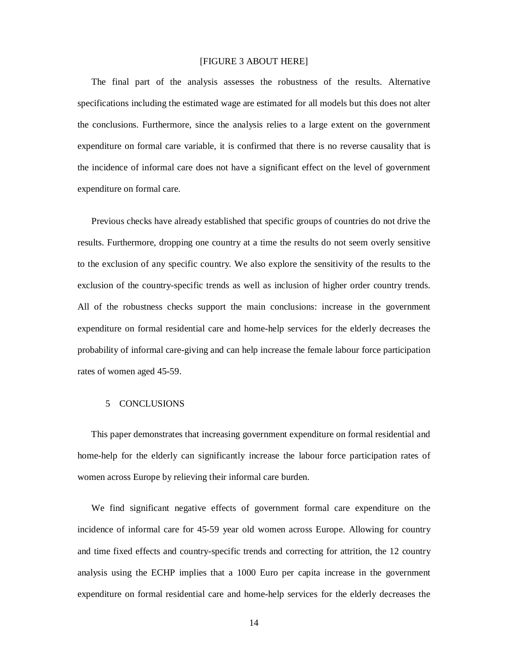### [FIGURE 3 ABOUT HERE]

The final part of the analysis assesses the robustness of the results. Alternative specifications including the estimated wage are estimated for all models but this does not alter the conclusions. Furthermore, since the analysis relies to a large extent on the government expenditure on formal care variable, it is confirmed that there is no reverse causality that is the incidence of informal care does not have a significant effect on the level of government expenditure on formal care.

Previous checks have already established that specific groups of countries do not drive the results. Furthermore, dropping one country at a time the results do not seem overly sensitive to the exclusion of any specific country. We also explore the sensitivity of the results to the exclusion of the country-specific trends as well as inclusion of higher order country trends. All of the robustness checks support the main conclusions: increase in the government expenditure on formal residential care and home-help services for the elderly decreases the probability of informal care-giving and can help increase the female labour force participation rates of women aged 45-59.

#### 5 CONCLUSIONS

This paper demonstrates that increasing government expenditure on formal residential and home-help for the elderly can significantly increase the labour force participation rates of women across Europe by relieving their informal care burden.

We find significant negative effects of government formal care expenditure on the incidence of informal care for 45-59 year old women across Europe. Allowing for country and time fixed effects and country-specific trends and correcting for attrition, the 12 country analysis using the ECHP implies that a 1000 Euro per capita increase in the government expenditure on formal residential care and home-help services for the elderly decreases the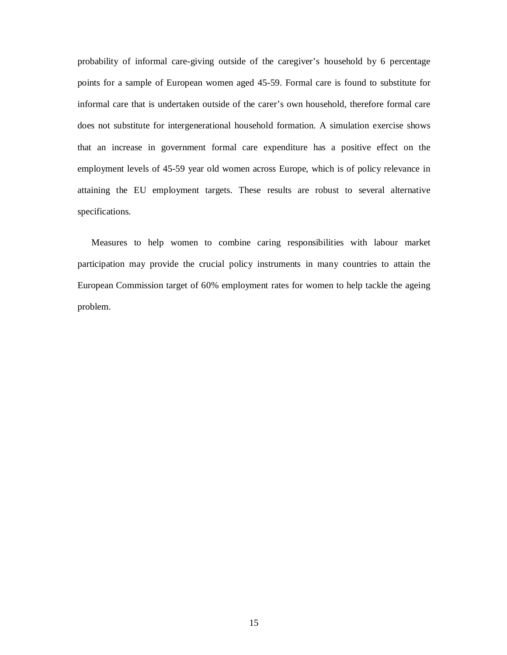probability of informal care-giving outside of the caregiver's household by 6 percentage points for a sample of European women aged 45-59. Formal care is found to substitute for informal care that is undertaken outside of the carer's own household, therefore formal care does not substitute for intergenerational household formation. A simulation exercise shows that an increase in government formal care expenditure has a positive effect on the employment levels of 45-59 year old women across Europe, which is of policy relevance in attaining the EU employment targets. These results are robust to several alternative specifications.

Measures to help women to combine caring responsibilities with labour market participation may provide the crucial policy instruments in many countries to attain the European Commission target of 60% employment rates for women to help tackle the ageing problem.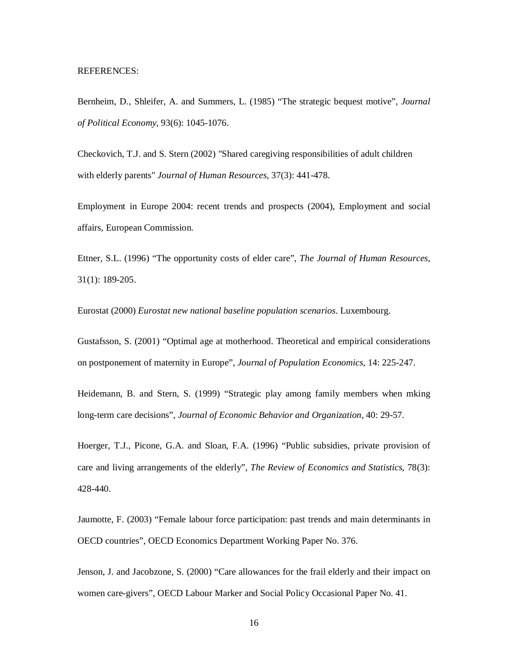#### REFERENCES:

Bernheim, D., Shleifer, A. and Summers, L. (1985) "The strategic bequest motive", *Journal of Political Economy*, 93(6): 1045-1076.

Checkovich, T.J. and S. Stern (2002) "Shared caregiving responsibilities of adult children with elderly parents" *Journal of Human Resources*, 37(3): 441-478.

Employment in Europe 2004: recent trends and prospects (2004), Employment and social affairs, European Commission.

Ettner, S.L. (1996) "The opportunity costs of elder care", *The Journal of Human Resources*, 31(1): 189-205.

Eurostat (2000) *Eurostat new national baseline population scenarios*. Luxembourg.

Gustafsson, S. (2001) "Optimal age at motherhood. Theoretical and empirical considerations on postponement of maternity in Europe", *Journal of Population Economics*, 14: 225-247.

Heidemann, B. and Stern, S. (1999) "Strategic play among family members when mking long-term care decisions", *Journal of Economic Behavior and Organization*, 40: 29-57.

Hoerger, T.J., Picone, G.A. and Sloan, F.A. (1996) "Public subsidies, private provision of care and living arrangements of the elderly", *The Review of Economics and Statistics*, 78(3): 428-440.

Jaumotte, F. (2003) "Female labour force participation: past trends and main determinants in OECD countries", OECD Economics Department Working Paper No. 376.

Jenson, J. and Jacobzone, S. (2000) "Care allowances for the frail elderly and their impact on women care-givers", OECD Labour Marker and Social Policy Occasional Paper No. 41.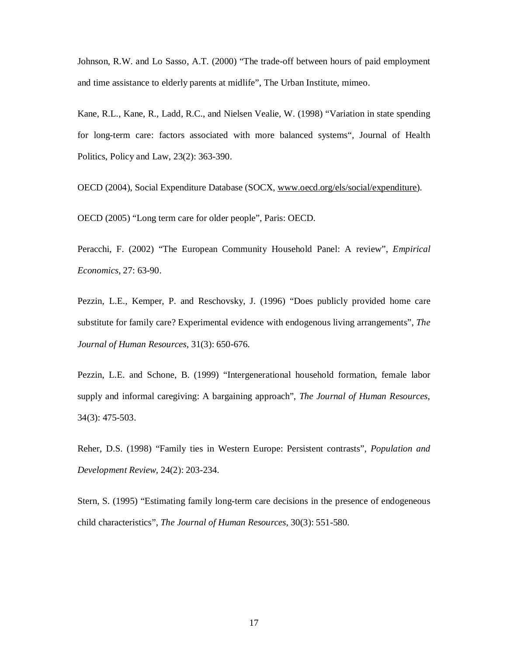Johnson, R.W. and Lo Sasso, A.T. (2000) "The trade-off between hours of paid employment and time assistance to elderly parents at midlife", The Urban Institute, mimeo.

Kane, R.L., Kane, R., Ladd, R.C., and Nielsen Vealie, W. (1998) "Variation in state spending for long-term care: factors associated with more balanced systems", Journal of Health Politics, Policy and Law, 23(2): 363-390.

OECD (2004), Social Expenditure Database (SOCX, [www.oecd.org/els/social/expenditure\)](http://www.oecd.org/els/social/expenditure).

OECD (2005) "Long term care for older people", Paris: OECD.

Peracchi, F. (2002) "The European Community Household Panel: A review", *Empirical Economics*, 27: 63-90.

Pezzin, L.E., Kemper, P. and Reschovsky, J. (1996) "Does publicly provided home care substitute for family care? Experimental evidence with endogenous living arrangements", *The Journal of Human Resources*, 31(3): 650-676.

Pezzin, L.E. and Schone, B. (1999) "Intergenerational household formation, female labor supply and informal caregiving: A bargaining approach", *The Journal of Human Resources*, 34(3): 475-503.

Reher, D.S. (1998) "Family ties in Western Europe: Persistent contrasts", *Population and Development Review*, 24(2): 203-234.

Stern, S. (1995) "Estimating family long-term care decisions in the presence of endogeneous child characteristics", *The Journal of Human Resources*, 30(3): 551-580.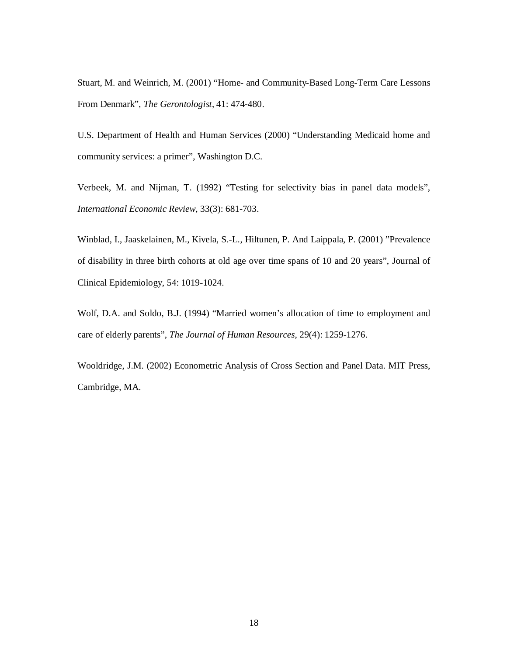Stuart, M. and Weinrich, M. (2001) "Home- and Community-Based Long-Term Care Lessons From Denmark", *The Gerontologist*, 41: 474-480.

U.S. Department of Health and Human Services (2000) "Understanding Medicaid home and community services: a primer", Washington D.C.

Verbeek, M. and Nijman, T. (1992) "Testing for selectivity bias in panel data models", *International Economic Review*, 33(3): 681-703.

Winblad, I., Jaaskelainen, M., Kivela, S.-L., Hiltunen, P. And Laippala, P. (2001) "Prevalence of disability in three birth cohorts at old age over time spans of 10 and 20 years", Journal of Clinical Epidemiology, 54: 1019-1024.

Wolf, D.A. and Soldo, B.J. (1994) "Married women's allocation of time to employment and care of elderly parents", *The Journal of Human Resources*, 29(4): 1259-1276.

Wooldridge, J.M. (2002) Econometric Analysis of Cross Section and Panel Data. MIT Press, Cambridge, MA.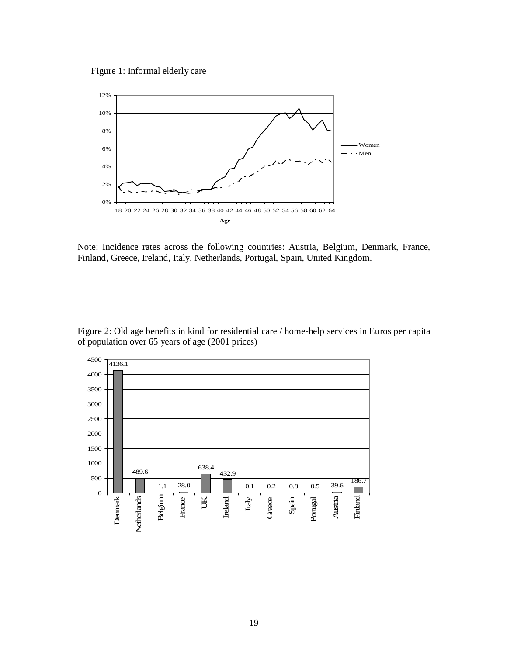Figure 1: Informal elderly care



Note: Incidence rates across the following countries: Austria, Belgium, Denmark, France, Finland, Greece, Ireland, Italy, Netherlands, Portugal, Spain, United Kingdom.



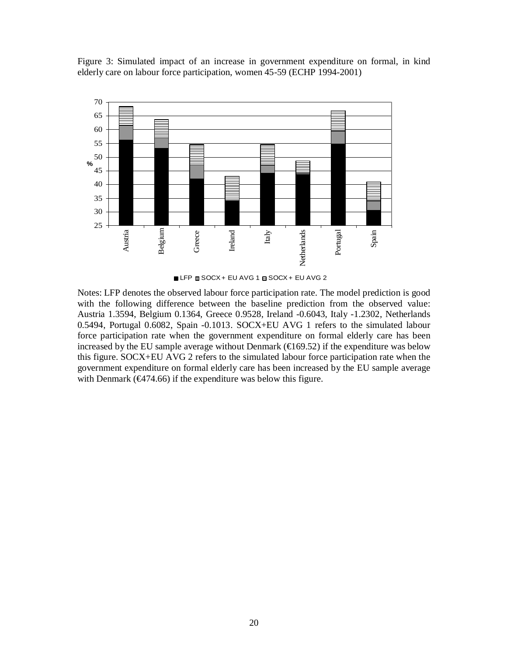Figure 3: Simulated impact of an increase in government expenditure on formal, in kind elderly care on labour force participation, women 45-59 (ECHP 1994-2001)



■ LFP ■ SOCX + EU AVG 1 a SOCX + EU AVG 2

Notes: LFP denotes the observed labour force participation rate. The model prediction is good with the following difference between the baseline prediction from the observed value: Austria 1.3594, Belgium 0.1364, Greece 0.9528, Ireland -0.6043, Italy -1.2302, Netherlands 0.5494, Portugal 0.6082, Spain -0.1013. SOCX+EU AVG 1 refers to the simulated labour force participation rate when the government expenditure on formal elderly care has been increased by the EU sample average without Denmark ( $\bigoplus$  69.52) if the expenditure was below this figure. SOCX+EU AVG 2 refers to the simulated labour force participation rate when the government expenditure on formal elderly care has been increased by the EU sample average with Denmark ( $\Theta$ ( $\Theta$ 74.66) if the expenditure was below this figure.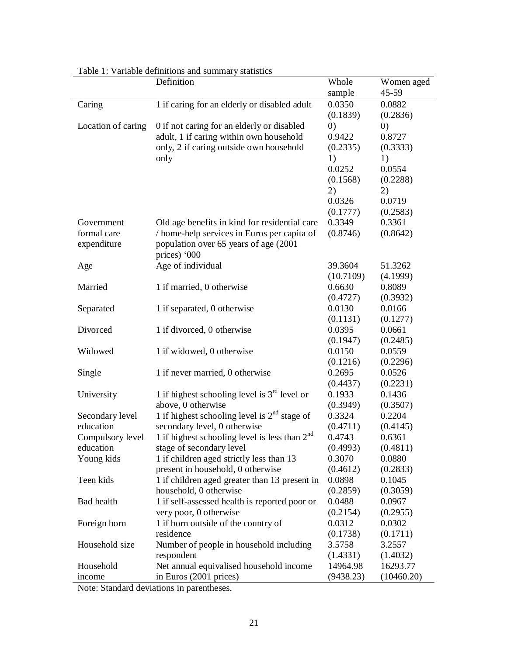|                    | Definition                                      | Whole     | Women aged |  |
|--------------------|-------------------------------------------------|-----------|------------|--|
|                    |                                                 | sample    | 45-59      |  |
| Caring             | 1 if caring for an elderly or disabled adult    | 0.0350    | 0.0882     |  |
|                    |                                                 | (0.1839)  | (0.2836)   |  |
| Location of caring | 0 if not caring for an elderly or disabled      | (0)       | (0)        |  |
|                    | adult, 1 if caring within own household         | 0.9422    | 0.8727     |  |
|                    | only, 2 if caring outside own household         | (0.2335)  | (0.3333)   |  |
|                    | only                                            | 1)        | 1)         |  |
|                    |                                                 | 0.0252    | 0.0554     |  |
|                    |                                                 | (0.1568)  | (0.2288)   |  |
|                    |                                                 | 2)        | 2)         |  |
|                    |                                                 | 0.0326    | 0.0719     |  |
|                    |                                                 | (0.1777)  | (0.2583)   |  |
| Government         | Old age benefits in kind for residential care   | 0.3349    | 0.3361     |  |
| formal care        | / home-help services in Euros per capita of     | (0.8746)  | (0.8642)   |  |
| expenditure        | population over 65 years of age (2001           |           |            |  |
|                    | prices) '000                                    |           |            |  |
| Age                | Age of individual                               | 39.3604   | 51.3262    |  |
|                    |                                                 | (10.7109) | (4.1999)   |  |
| Married            | 1 if married, 0 otherwise                       | 0.6630    | 0.8089     |  |
|                    |                                                 | (0.4727)  | (0.3932)   |  |
| Separated          | 1 if separated, 0 otherwise                     | 0.0130    | 0.0166     |  |
|                    |                                                 | (0.1131)  | (0.1277)   |  |
| Divorced           | 1 if divorced, 0 otherwise                      | 0.0395    | 0.0661     |  |
|                    |                                                 | (0.1947)  | (0.2485)   |  |
| Widowed            | 1 if widowed, 0 otherwise                       | 0.0150    | 0.0559     |  |
|                    |                                                 | (0.1216)  | (0.2296)   |  |
| Single             | 1 if never married, 0 otherwise                 | 0.2695    | 0.0526     |  |
|                    |                                                 | (0.4437)  | (0.2231)   |  |
| University         | 1 if highest schooling level is $3rd$ level or  | 0.1933    | 0.1436     |  |
|                    | above, 0 otherwise                              | (0.3949)  | (0.3507)   |  |
| Secondary level    | 1 if highest schooling level is $2nd$ stage of  | 0.3324    | 0.2204     |  |
| education          | secondary level, 0 otherwise                    | (0.4711)  | (0.4145)   |  |
| Compulsory level   | 1 if highest schooling level is less than $2nd$ | 0.4743    | 0.6361     |  |
| education          | stage of secondary level                        | (0.4993)  | (0.4811)   |  |
| Young kids         | 1 if children aged strictly less than 13        | 0.3070    | 0.0880     |  |
|                    | present in household, 0 otherwise               | (0.4612)  | (0.2833)   |  |
| Teen kids          | 1 if children aged greater than 13 present in   | 0.0898    | 0.1045     |  |
|                    | household, 0 otherwise                          | (0.2859)  | (0.3059)   |  |
| Bad health         | 1 if self-assessed health is reported poor or   | 0.0488    | 0.0967     |  |
|                    | very poor, 0 otherwise                          | (0.2154)  | (0.2955)   |  |
| Foreign born       | 1 if born outside of the country of             | 0.0312    | 0.0302     |  |
|                    | residence                                       | (0.1738)  | (0.1711)   |  |
| Household size     | Number of people in household including         | 3.5758    | 3.2557     |  |
|                    | respondent                                      | (1.4331)  | (1.4032)   |  |
| Household          | Net annual equivalised household income         | 14964.98  | 16293.77   |  |
| income             | in Euros (2001 prices)                          | (9438.23) | (10460.20) |  |

Table 1: Variable definitions and summary statistics

Note: Standard deviations in parentheses.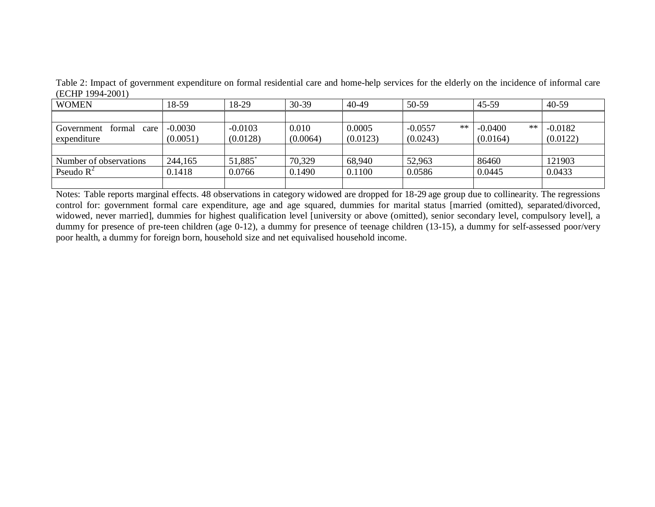| <b>WOMEN</b>                 | 18-59     | 18-29     | $30 - 39$ | 40-49    | 50-59           | 45-59           | $40 - 59$ |
|------------------------------|-----------|-----------|-----------|----------|-----------------|-----------------|-----------|
|                              |           |           |           |          |                 |                 |           |
| Government<br>formal<br>care | $-0.0030$ | $-0.0103$ | 0.010     | 0.0005   | **<br>$-0.0557$ | **<br>$-0.0400$ | $-0.0182$ |
| expenditure                  | (0.0051)  | (0.0128)  | (0.0064)  | (0.0123) | (0.0243)        | (0.0164)        | (0.0122)  |
|                              |           |           |           |          |                 |                 |           |
| Number of observations       | 244,165   | 51,885*   | 70,329    | 68,940   | 52,963          | 86460           | 121903    |
| Pseudo $R^2$                 | 0.1418    | 0.0766    | 0.1490    | 0.1100   | 0.0586          | 0.0445          | 0.0433    |
|                              |           |           |           |          |                 |                 |           |

Table 2: Impact of government expenditure on formal residential care and home-help services for the elderly on the incidence of informal care (ECHP 1994-2001)

Notes: Table reports marginal effects. 48 observations in category widowed are dropped for 18-29 age group due to collinearity. The regressions control for: government formal care expenditure, age and age squared, dummies for marital status [married (omitted), separated/divorced, widowed, never married], dummies for highest qualification level [university or above (omitted), senior secondary level, compulsory level], a dummy for presence of pre-teen children (age 0-12), a dummy for presence of teenage children (13-15), a dummy for self-assessed poor/very poor health, a dummy for foreign born, household size and net equivalised household income.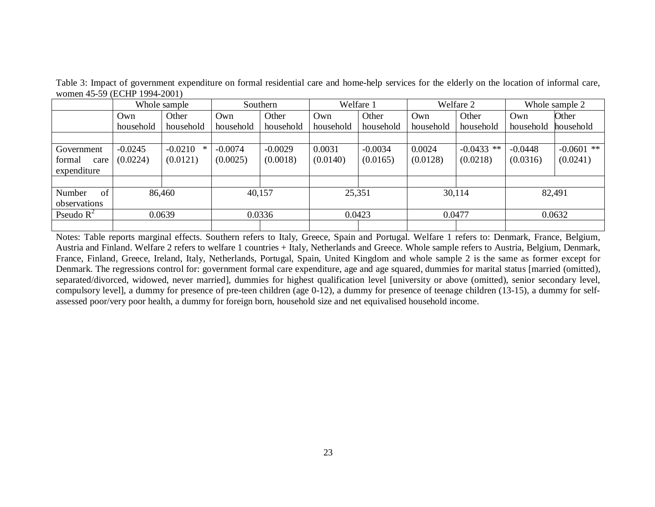|                | Whole sample |           | Southern  |           | Welfare 1 |           | Welfare 2 |              | Whole sample 2 |              |
|----------------|--------------|-----------|-----------|-----------|-----------|-----------|-----------|--------------|----------------|--------------|
|                | Own          | Other     | Own       | Other     | Own       | Other     | Own       | Other        | Own            | Other        |
|                | household    | household | household | household | household | household | household | household    | household      | household    |
|                |              |           |           |           |           |           |           |              |                |              |
| Government     | $-0.0245$    | $-0.0210$ | $-0.0074$ | $-0.0029$ | 0.0031    | $-0.0034$ | 0.0024    | $-0.0433$ ** | $-0.0448$      | $-0.0601$ ** |
| formal<br>care | (0.0224)     | (0.0121)  | (0.0025)  | (0.0018)  | (0.0140)  | (0.0165)  | (0.0128)  | (0.0218)     | (0.0316)       | (0.0241)     |
| expenditure    |              |           |           |           |           |           |           |              |                |              |
|                |              |           |           |           |           |           |           |              |                |              |
| Number<br>of   | 86,460       |           | 40,157    |           | 25,351    |           | 30,114    |              | 82,491         |              |
| observations   |              |           |           |           |           |           |           |              |                |              |
| Pseudo $R^2$   | 0.0639       |           | 0.0336    |           | 0.0423    |           | 0.0477    |              | 0.0632         |              |
|                |              |           |           |           |           |           |           |              |                |              |

Table 3: Impact of government expenditure on formal residential care and home-help services for the elderly on the location of informal care, women 45-59 (ECHP 1994-2001)

Notes: Table reports marginal effects. Southern refers to Italy, Greece, Spain and Portugal. Welfare 1 refers to: Denmark, France, Belgium, Austria and Finland. Welfare 2 refers to welfare 1 countries + Italy, Netherlands and Greece. Whole sample refers to Austria, Belgium, Denmark, France, Finland, Greece, Ireland, Italy, Netherlands, Portugal, Spain, United Kingdom and whole sample 2 is the same as former except for Denmark. The regressions control for: government formal care expenditure, age and age squared, dummies for marital status [married (omitted), separated/divorced, widowed, never married], dummies for highest qualification level [university or above (omitted), senior secondary level, compulsory level], a dummy for presence of pre-teen children (age 0-12), a dummy for presence of teenage children (13-15), a dummy for selfassessed poor/very poor health, a dummy for foreign born, household size and net equivalised household income.